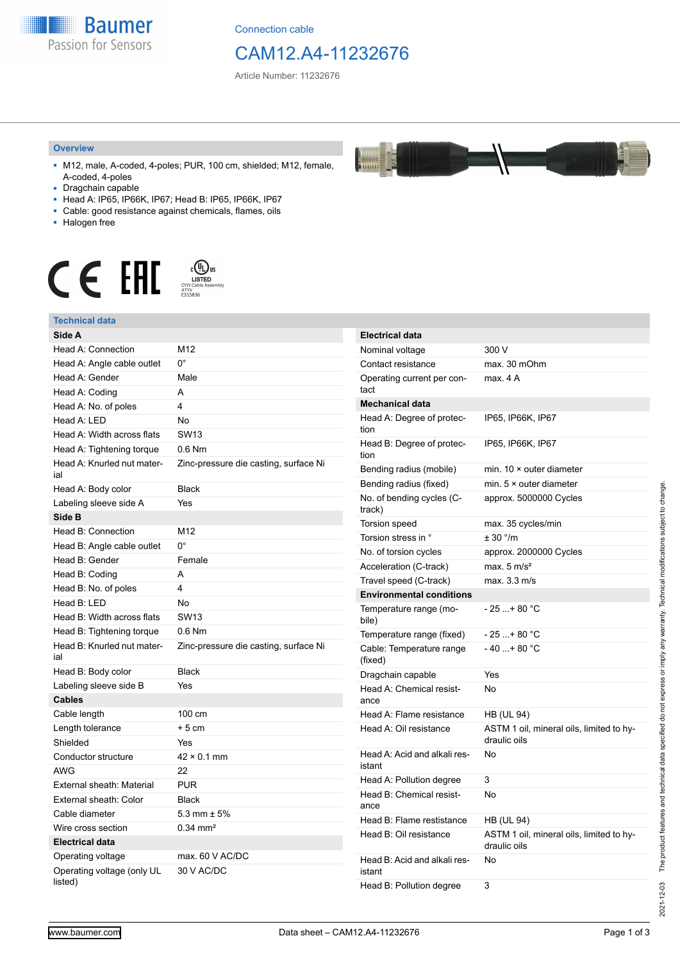

Connection cable

## CAM12.A4-11232676

 $\frac{1}{2}$ 

Article Number: 11232676

#### **Overview**

- M12, male, A-coded, 4-poles; PUR, 100 cm, shielded; M12, female, A-coded, 4-poles
- Dragchain capable
- Head A: IP65, IP66K, IP67; Head B: IP65, IP66K, IP67
- Cable: good resistance against chemicals, flames, oils
- Halogen free



#### **Technical data**

| Technical data                        |                                       |
|---------------------------------------|---------------------------------------|
| Side A                                |                                       |
| Head A: Connection                    | M12                                   |
| Head A: Angle cable outlet            | $0^{\circ}$                           |
| Head A: Gender                        | Male                                  |
| Head A: Coding                        | A                                     |
| Head A: No. of poles                  | 4                                     |
| Head A: LED                           | No                                    |
| Head A: Width across flats            | <b>SW13</b>                           |
| Head A: Tightening torque             | $0.6$ Nm                              |
| Head A: Knurled nut mater-<br>ial     | Zinc-pressure die casting, surface Ni |
| Head A: Body color                    | <b>Black</b>                          |
| Labeling sleeve side A                | Yes                                   |
| Side B                                |                                       |
| Head B: Connection                    | M12                                   |
| Head B: Angle cable outlet            | $0^{\circ}$                           |
| Head B: Gender                        | Female                                |
| Head B: Coding                        | A                                     |
| Head B: No. of poles                  | 4                                     |
| Head B: LED                           | No                                    |
| Head B: Width across flats            | <b>SW13</b>                           |
| Head B: Tightening torque             | $0.6$ Nm                              |
| Head B: Knurled nut mater-<br>ial     | Zinc-pressure die casting, surface Ni |
| Head B: Body color                    | <b>Black</b>                          |
| Labeling sleeve side B                | Yes                                   |
| <b>Cables</b>                         |                                       |
| Cable length                          | 100 cm                                |
| Length tolerance                      | $+5cm$                                |
| Shielded                              | Yes                                   |
| Conductor structure                   | $42 \times 0.1$ mm                    |
| <b>AWG</b>                            | 22                                    |
| External sheath: Material             | <b>PUR</b>                            |
| External sheath: Color                | <b>Black</b>                          |
| Cable diameter                        | 5.3 mm $\pm$ 5%                       |
| Wire cross section                    | $0.34$ mm <sup>2</sup>                |
| <b>Electrical data</b>                |                                       |
| Operating voltage                     | max. 60 V AC/DC                       |
| Operating voltage (only UL<br>listed) | 30 V AC/DC                            |

| <b>Electrical data</b>                 |                                                          |
|----------------------------------------|----------------------------------------------------------|
| Nominal voltage                        | 300 V                                                    |
| Contact resistance                     | max. 30 mOhm                                             |
| Operating current per con-<br>tact     | max. 4 A                                                 |
| <b>Mechanical data</b>                 |                                                          |
| Head A: Degree of protec-<br>tion      | IP65, IP66K, IP67                                        |
| Head B: Degree of protec-<br>tion      | IP65, IP66K, IP67                                        |
| Bending radius (mobile)                | min. $10 \times$ outer diameter                          |
| Bending radius (fixed)                 | min. $5 \times$ outer diameter                           |
| No. of bending cycles (C-<br>track)    | approx. 5000000 Cycles                                   |
| <b>Torsion speed</b>                   | max. 35 cycles/min                                       |
| Torsion stress in °                    | ± 30 °/m                                                 |
| No. of torsion cycles                  | approx. 2000000 Cycles                                   |
| Acceleration (C-track)                 | max. $5 \text{ m/s}^2$                                   |
| Travel speed (C-track)                 | max. 3.3 m/s                                             |
| <b>Environmental conditions</b>        |                                                          |
| Temperature range (mo-<br>bile)        | - 25 + 80 °C                                             |
| Temperature range (fixed)              | - 25 + 80 °C                                             |
| Cable: Temperature range<br>(fixed)    | - 40 + 80 °C                                             |
| Dragchain capable                      | Yes                                                      |
| Head A: Chemical resist-<br>ance       | No                                                       |
| Head A: Flame resistance               | HB (UL 94)                                               |
| Head A: Oil resistance                 | ASTM 1 oil, mineral oils, limited to hy-<br>draulic oils |
| Head A: Acid and alkali res-<br>istant | No                                                       |
| Head A: Pollution degree               | 3                                                        |
| Head B: Chemical resist-<br>ance       | No                                                       |
| Head B: Flame restistance              | HB (UL 94)                                               |
| Head B: Oil resistance                 | ASTM 1 oil, mineral oils, limited to hy-<br>draulic oils |
| Head B: Acid and alkali res-<br>istant | No                                                       |
| Head B: Pollution degree               | 3                                                        |

2021-12-03

2021-12-03 The product features and technical data specified do not express or imply any warranty. Technical modifications subject to change.

The product features and technical data specified do not express or imply any warranty. Technical modifications subject to change.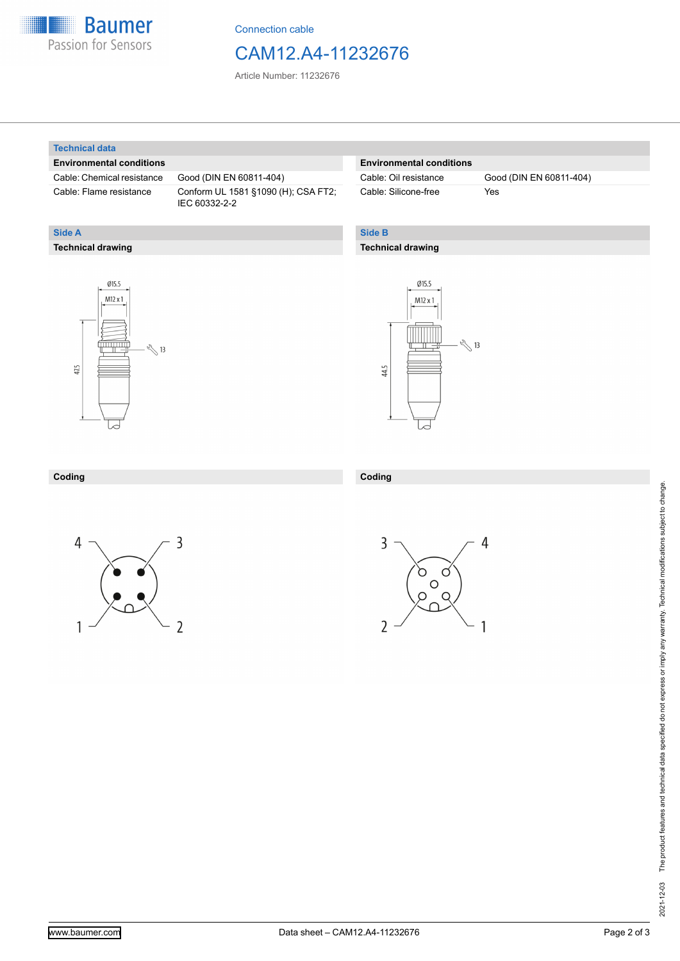

Connection cable

### CAM12.A4-11232676

Article Number: 11232676

#### **Technical data**

**Technical drawing**

**Side A**

#### **Environmental conditions**

Cable: Chemical resistance Good (DIN EN 60811-404)

Cable: Flame resistance Conform UL 1581 §1090 (H); CSA FT2; IEC 60332-2-2

#### **Environmental conditions**

Cable: Silicone-free Yes

Cable: Oil resistance Good (DIN EN 60811-404)

### **Side B**

#### **Technical drawing**





| Coding | Coding |
|--------|--------|
|        |        |